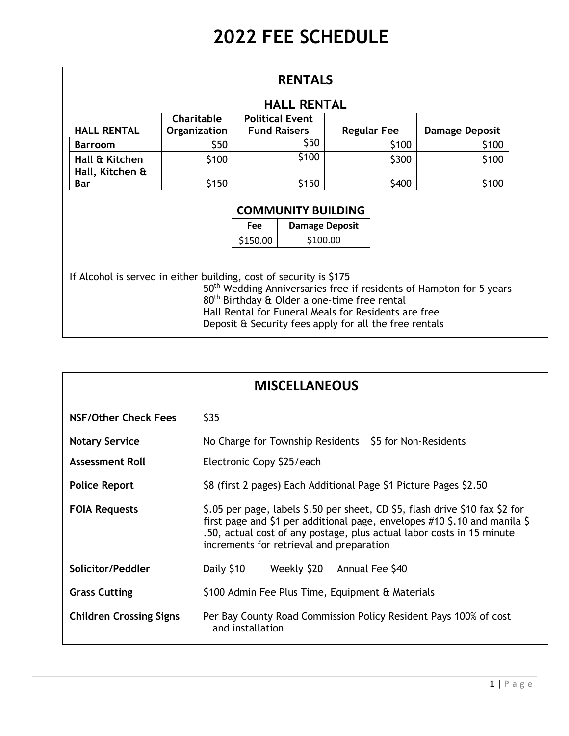| <b>RENTALS</b>                                                     |                                             |  |                                                             |                                                                                                                  |                                                                                 |  |  |
|--------------------------------------------------------------------|---------------------------------------------|--|-------------------------------------------------------------|------------------------------------------------------------------------------------------------------------------|---------------------------------------------------------------------------------|--|--|
| <b>HALL RENTAL</b>                                                 |                                             |  |                                                             |                                                                                                                  |                                                                                 |  |  |
|                                                                    | <b>Charitable</b><br><b>Political Event</b> |  |                                                             |                                                                                                                  |                                                                                 |  |  |
| <b>HALL RENTAL</b>                                                 | Organization                                |  | <b>Fund Raisers</b><br><b>Regular Fee</b><br>Damage Deposit |                                                                                                                  |                                                                                 |  |  |
| Barroom                                                            | \$50                                        |  | \$50                                                        | \$100                                                                                                            | \$100                                                                           |  |  |
| Hall & Kitchen                                                     | \$100                                       |  | \$100                                                       | \$300                                                                                                            | \$100                                                                           |  |  |
| Hall, Kitchen &                                                    |                                             |  |                                                             |                                                                                                                  |                                                                                 |  |  |
| Bar                                                                | \$150                                       |  | \$150                                                       | \$400                                                                                                            | \$100                                                                           |  |  |
| <b>COMMUNITY BUILDING</b><br><b>Damage Deposit</b><br><b>Fee</b>   |                                             |  |                                                             |                                                                                                                  |                                                                                 |  |  |
|                                                                    | \$100.00<br>\$150.00                        |  |                                                             |                                                                                                                  |                                                                                 |  |  |
| If Alcohol is served in either building, cost of security is \$175 |                                             |  |                                                             | 80 <sup>th</sup> Birthday & Older a one-time free rental<br>Hall Rental for Funeral Meals for Residents are free | 50 <sup>th</sup> Wedding Anniversaries free if residents of Hampton for 5 years |  |  |

Deposit & Security fees apply for all the free rentals

| <b>MISCELLANEOUS</b>           |                                                                                                                                                                                                                                                                                   |  |  |  |  |  |
|--------------------------------|-----------------------------------------------------------------------------------------------------------------------------------------------------------------------------------------------------------------------------------------------------------------------------------|--|--|--|--|--|
| NSF/Other Check Fees           | \$35                                                                                                                                                                                                                                                                              |  |  |  |  |  |
| <b>Notary Service</b>          | No Charge for Township Residents \$5 for Non-Residents                                                                                                                                                                                                                            |  |  |  |  |  |
| <b>Assessment Roll</b>         | Electronic Copy \$25/each                                                                                                                                                                                                                                                         |  |  |  |  |  |
| <b>Police Report</b>           | \$8 (first 2 pages) Each Additional Page \$1 Picture Pages \$2.50                                                                                                                                                                                                                 |  |  |  |  |  |
| <b>FOIA Requests</b>           | \$.05 per page, labels \$.50 per sheet, CD \$5, flash drive \$10 fax \$2 for<br>first page and \$1 per additional page, envelopes $\#10$ \$.10 and manila \$<br>.50, actual cost of any postage, plus actual labor costs in 15 minute<br>increments for retrieval and preparation |  |  |  |  |  |
| Solicitor/Peddler              | Annual Fee \$40<br>Daily \$10<br>Weekly \$20                                                                                                                                                                                                                                      |  |  |  |  |  |
| <b>Grass Cutting</b>           | \$100 Admin Fee Plus Time, Equipment & Materials                                                                                                                                                                                                                                  |  |  |  |  |  |
| <b>Children Crossing Signs</b> | Per Bay County Road Commission Policy Resident Pays 100% of cost<br>and installation                                                                                                                                                                                              |  |  |  |  |  |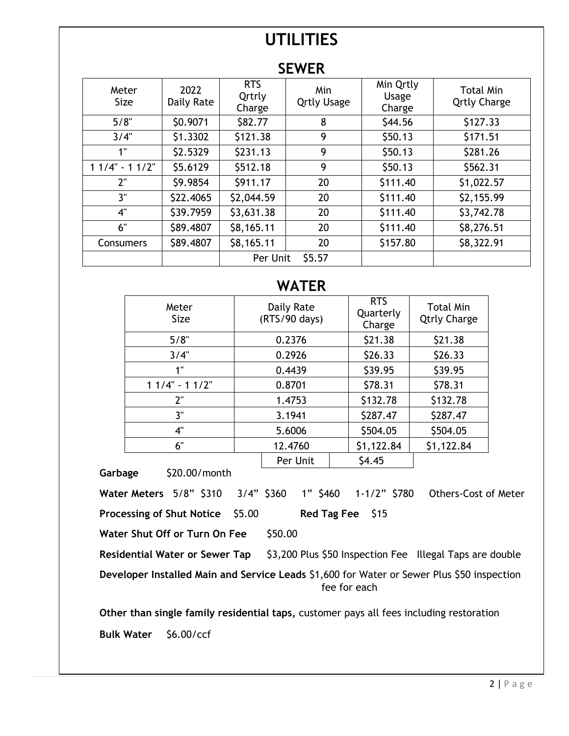## **UTILITIES**

| SEWER |  |
|-------|--|
|-------|--|

| Meter<br><b>Size</b> | 2022<br>Daily Rate | <b>RTS</b><br>Qrtrly<br>Charge | Min<br><b>Qrtly Usage</b> | Min Qrtly<br>Usage<br>Charge | <b>Total Min</b><br><b>Qrtly Charge</b> |  |
|----------------------|--------------------|--------------------------------|---------------------------|------------------------------|-----------------------------------------|--|
| 5/8"                 | \$0.9071           | \$82.77                        | 8                         | \$44.56                      | \$127.33                                |  |
| 3/4"                 | \$1.3302           | \$121.38                       | 9                         | \$50.13                      | \$171.51                                |  |
| 1"                   | \$2.5329           | \$231.13                       | 9                         | \$50.13                      | \$281.26                                |  |
| $11/4" - 11/2"$      | \$5.6129           | \$512.18                       | 9                         | \$50.13                      | \$562.31                                |  |
| 2"                   | \$9.9854           | \$911.17                       | 20                        | \$111.40                     | \$1,022.57                              |  |
| 3"                   | \$22.4065          | \$2,044.59                     | 20                        | \$111.40                     | \$2,155.99                              |  |
| 4"                   | \$39.7959          | \$3,631.38                     | 20                        | \$111.40                     | \$3,742.78                              |  |
| 6"                   | \$89.4807          | \$8,165.11                     | 20                        | \$111.40                     | \$8,276.51                              |  |
| Consumers            | \$89.4807          | \$8,165.11                     | 20                        | \$157.80                     | \$8,322.91                              |  |
|                      |                    | Per Unit                       | \$5.57                    |                              |                                         |  |

## **WATER**

| Meter<br><b>Size</b> | Daily Rate<br>(RTS/90 days) | <b>RTS</b><br>Quarterly<br>Charge | <b>Total Min</b><br><b>Qtrly Charge</b> |
|----------------------|-----------------------------|-----------------------------------|-----------------------------------------|
| 5/8"                 | 0.2376                      | \$21.38                           | \$21.38                                 |
| 3/4"                 | 0.2926                      | \$26.33                           | \$26.33                                 |
| 1"                   | 0.4439                      | \$39.95                           | \$39.95                                 |
| $11/4" - 11/2"$      | 0.8701                      | \$78.31                           | \$78.31                                 |
| 2"                   | 1.4753                      | \$132.78                          | \$132.78                                |
| 3"                   | 3.1941                      | \$287.47                          | \$287.47                                |
| 4"                   | 5.6006                      | \$504.05                          | \$504.05                                |
| 6"                   | 12.4760                     | \$1,122.84                        | \$1,122.84                              |
|                      | Per Unit                    | \$4.45                            |                                         |

Garbage \$20.00/month

**Water Meters** 5/8" \$310 3/4" \$360 1" \$460 1-1/2" \$780 Others-Cost of Meter

**Processing of Shut Notice \$5.00 Red Tag Fee \$15** 

**Water Shut Off or Turn On Fee** \$50.00

Residential Water or Sewer Tap \$3,200 Plus \$50 Inspection Fee Illegal Taps are double

**Developer Installed Main and Service Leads** \$1,600 for Water or Sewer Plus \$50 inspection fee for each

**Other than single family residential taps,** customer pays all fees including restoration **Bulk Water** \$6.00/ccf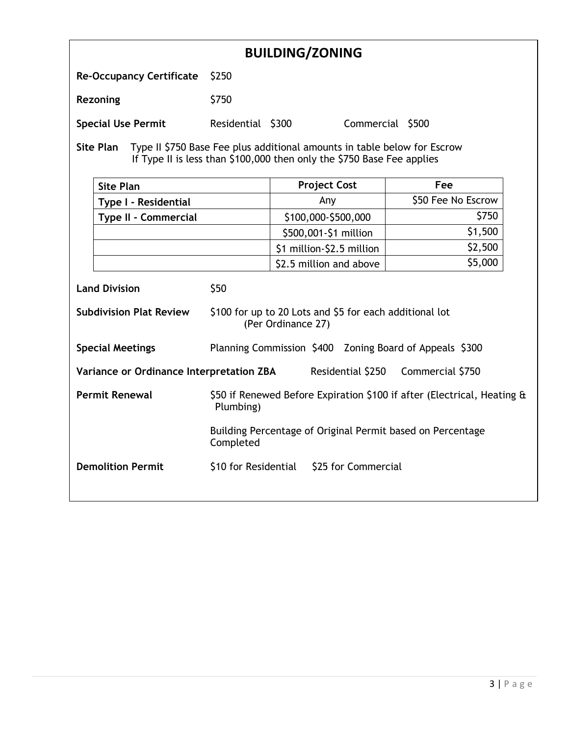| <b>BUILDING/ZONING</b>                                                                                                                                                 |                                                                                                                 |                                                                         |                    |  |  |  |
|------------------------------------------------------------------------------------------------------------------------------------------------------------------------|-----------------------------------------------------------------------------------------------------------------|-------------------------------------------------------------------------|--------------------|--|--|--|
| <b>Re-Occupancy Certificate</b>                                                                                                                                        | \$250                                                                                                           |                                                                         |                    |  |  |  |
| <b>Rezoning</b>                                                                                                                                                        | \$750                                                                                                           |                                                                         |                    |  |  |  |
| <b>Special Use Permit</b>                                                                                                                                              | Residential \$300                                                                                               | Commercial \$500                                                        |                    |  |  |  |
| <b>Site Plan</b><br>Type II \$750 Base Fee plus additional amounts in table below for Escrow<br>If Type II is less than \$100,000 then only the \$750 Base Fee applies |                                                                                                                 |                                                                         |                    |  |  |  |
| <b>Site Plan</b>                                                                                                                                                       |                                                                                                                 | <b>Project Cost</b>                                                     | Fee                |  |  |  |
| Type I - Residential                                                                                                                                                   |                                                                                                                 | Any                                                                     | \$50 Fee No Escrow |  |  |  |
| Type II - Commercial                                                                                                                                                   |                                                                                                                 | \$100,000-\$500,000                                                     | \$750              |  |  |  |
|                                                                                                                                                                        |                                                                                                                 | \$500,001-\$1 million                                                   | \$1,500            |  |  |  |
|                                                                                                                                                                        |                                                                                                                 | \$1 million-\$2.5 million                                               | \$2,500            |  |  |  |
|                                                                                                                                                                        |                                                                                                                 | \$2.5 million and above                                                 | \$5,000            |  |  |  |
| <b>Land Division</b>                                                                                                                                                   | \$50                                                                                                            |                                                                         |                    |  |  |  |
|                                                                                                                                                                        | <b>Subdivision Plat Review</b><br>\$100 for up to 20 Lots and \$5 for each additional lot<br>(Per Ordinance 27) |                                                                         |                    |  |  |  |
| <b>Special Meetings</b>                                                                                                                                                | Planning Commission \$400 Zoning Board of Appeals \$300                                                         |                                                                         |                    |  |  |  |
| Variance or Ordinance Interpretation ZBA                                                                                                                               | Residential \$250<br>Commercial \$750                                                                           |                                                                         |                    |  |  |  |
| <b>Permit Renewal</b>                                                                                                                                                  | Plumbing)                                                                                                       | \$50 if Renewed Before Expiration \$100 if after (Electrical, Heating & |                    |  |  |  |
|                                                                                                                                                                        | Building Percentage of Original Permit based on Percentage<br>Completed                                         |                                                                         |                    |  |  |  |
| <b>Demolition Permit</b><br>\$10 for Residential \$25 for Commercial                                                                                                   |                                                                                                                 |                                                                         |                    |  |  |  |
|                                                                                                                                                                        |                                                                                                                 |                                                                         |                    |  |  |  |